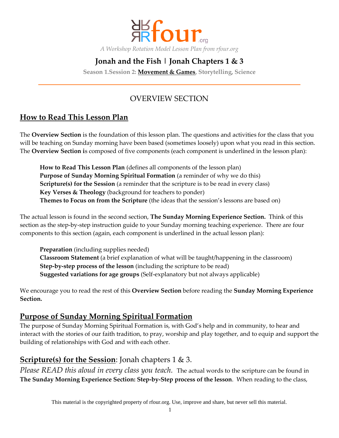

# **Jonah and the Fish | Jonah Chapters 1 & 3**

**Season 1.Session 2: Movement & Games, Storytelling, Science**

## OVERVIEW SECTION

## **How to Read This Lesson Plan**

The **Overview Section** is the foundation of this lesson plan. The questions and activities for the class that you will be teaching on Sunday morning have been based (sometimes loosely) upon what you read in this section. The **Overview Section i**s composed of five components (each component is underlined in the lesson plan):

**How to Read This Lesson Plan** (defines all components of the lesson plan) **Purpose of Sunday Morning Spiritual Formation** (a reminder of why we do this) **Scripture(s) for the Session** (a reminder that the scripture is to be read in every class) **Key Verses & Theology** (background for teachers to ponder) **Themes to Focus on from the Scripture** (the ideas that the session's lessons are based on)

The actual lesson is found in the second section, **The Sunday Morning Experience Section.** Think of this section as the step-by-step instruction guide to your Sunday morning teaching experience. There are four components to this section (again, each component is underlined in the actual lesson plan):

**Preparation** (including supplies needed) **Classroom Statement** (a brief explanation of what will be taught/happening in the classroom) **Step-by-step process of the lesson** (including the scripture to be read) **Suggested variations for age groups** (Self-explanatory but not always applicable)

We encourage you to read the rest of this **Overview Section** before reading the **Sunday Morning Experience Section.**

## **Purpose of Sunday Morning Spiritual Formation**

The purpose of Sunday Morning Spiritual Formation is, with God's help and in community, to hear and interact with the stories of our faith tradition, to pray, worship and play together, and to equip and support the building of relationships with God and with each other.

## **Scripture(s) for the Session**: Jonah chapters 1 & 3.

*Please READ this aloud in every class you teach.* The actual words to the scripture can be found in **The Sunday Morning Experience Section: Step-by-Step process of the lesson**. When reading to the class,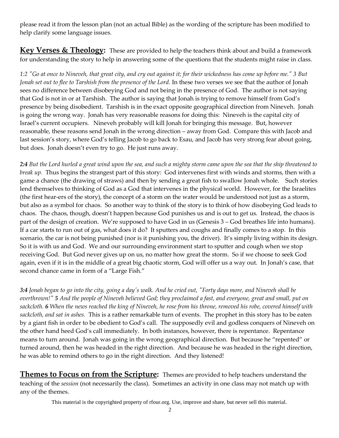please read it from the lesson plan (not an actual Bible) as the wording of the scripture has been modified to help clarify some language issues.

Key Verses & Theology: These are provided to help the teachers think about and build a framework for understanding the story to help in answering some of the questions that the students might raise in class.

*1:2 "Go at once to Nineveh, that great city, and cry out against it; for their wickedness has come up before me." 3 But Jonah set out to flee to Tarshish from the presence of the Lord.* In these two verses we see that the author of Jonah sees no difference between disobeying God and not being in the presence of God. The author is not saying that God is not in or at Tarshish. The author is saying that Jonah is trying to remove himself from God's presence by being disobedient. Tarshish is in the exact opposite geographical direction from Nineveh. Jonah is going the wrong way. Jonah has very reasonable reasons for doing this: Nineveh is the capital city of Israel's current occupiers. Nineveh probably will kill Jonah for bringing this message. But, however reasonable, these reasons send Jonah in the wrong direction – away from God. Compare this with Jacob and last session's story, where God's telling Jacob to go back to Esau, and Jacob has very strong fear about going, but does. Jonah doesn't even try to go. He just runs away.

*2:4 But the Lord hurled a great wind upon the sea, and such a mighty storm came upon the sea that the ship threatened to break up.* Thus begins the strangest part of this story: God intervenes first with winds and storms, then with a game a chance (the drawing of straws) and then by sending a great fish to swallow Jonah whole. Such stories lend themselves to thinking of God as a God that intervenes in the physical world. However, for the Israelites (the first hear-ers of the story), the concept of a storm on the water would be understood not just as a storm, but also as a symbol for chaos. So another way to think of the story is to think of how disobeying God leads to chaos. The chaos, though, doesn't happen because God punishes us and is out to get us. Instead, the chaos is part of the design of creation. We're supposed to have God in us (Genesis 3 – God breathes life into humans). If a car starts to run out of gas, what does it do? It sputters and coughs and finally comes to a stop. In this scenario, the car is not being punished (nor is it punishing you, the driver). It's simply living within its design. So it is with us and God. We and our surrounding environment start to sputter and cough when we stop receiving God. But God never gives up on us, no matter how great the storm. So if we choose to seek God again, even if it is in the middle of a great big chaotic storm, God will offer us a way out. In Jonah's case, that second chance came in form of a "Large Fish."

*3:4 Jonah began to go into the city, going a day's walk. And he cried out, "Forty days more, and Nineveh shall be overthrown!" 5 And the people of Nineveh believed God; they proclaimed a fast, and everyone, great and small, put on sackcloth. 6 When the news reached the king of Nineveh, he rose from his throne, removed his robe, covered himself with sackcloth, and sat in ashes.* This is a rather remarkable turn of events. The prophet in this story has to be eaten by a giant fish in order to be obedient to God's call. The supposedly evil and godless conquers of Nineveh on the other hand heed God's call immediately. In both instances, however, there is repentance. Repentance means to turn around. Jonah was going in the wrong geographical direction. But because he "repented" or turned around, then he was headed in the right direction. And because he was headed in the right direction, he was able to remind others to go in the right direction. And they listened!

**Themes to Focus on from the Scripture:** Themes are provided to help teachers understand the teaching of the *session* (not necessarily the class). Sometimes an activity in one class may not match up with any of the themes.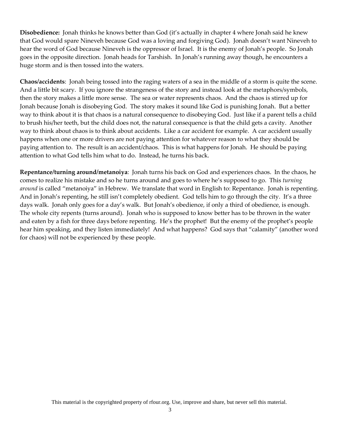**Disobedience:** Jonah thinks he knows better than God (it's actually in chapter 4 where Jonah said he knew that God would spare Nineveh because God was a loving and forgiving God). Jonah doesn't want Nineveh to hear the word of God because Nineveh is the oppressor of Israel. It is the enemy of Jonah's people. So Jonah goes in the opposite direction. Jonah heads for Tarshish. In Jonah's running away though, he encounters a huge storm and is then tossed into the waters.

**Chaos/accidents**: Jonah being tossed into the raging waters of a sea in the middle of a storm is quite the scene. And a little bit scary. If you ignore the strangeness of the story and instead look at the metaphors/symbols, then the story makes a little more sense. The sea or water represents chaos. And the chaos is stirred up for Jonah because Jonah is disobeying God. The story makes it sound like God is punishing Jonah. But a better way to think about it is that chaos is a natural consequence to disobeying God. Just like if a parent tells a child to brush his/her teeth, but the child does not, the natural consequence is that the child gets a cavity. Another way to think about chaos is to think about accidents. Like a car accident for example. A car accident usually happens when one or more drivers are not paying attention for whatever reason to what they should be paying attention to. The result is an accident/chaos. This is what happens for Jonah. He should be paying attention to what God tells him what to do. Instead, he turns his back.

**Repentance/turning around/metanoiya**: Jonah turns his back on God and experiences chaos. In the chaos, he comes to realize his mistake and so he turns around and goes to where he's supposed to go. This *turning around* is called "metanoiya" in Hebrew. We translate that word in English to: Repentance. Jonah is repenting. And in Jonah's repenting, he still isn't completely obedient. God tells him to go through the city. It's a three days walk. Jonah only goes for a day's walk. But Jonah's obedience, if only a third of obedience, is enough. The whole city repents (turns around). Jonah who is supposed to know better has to be thrown in the water and eaten by a fish for three days before repenting. He's the prophet! But the enemy of the prophet's people hear him speaking, and they listen immediately! And what happens? God says that "calamity" (another word for chaos) will not be experienced by these people.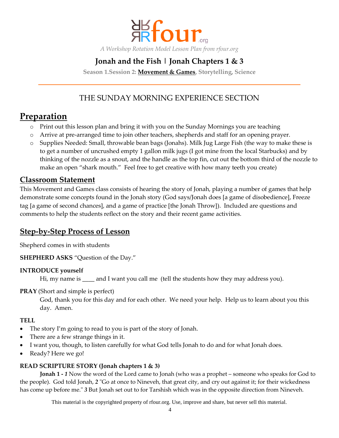

# **Jonah and the Fish | Jonah Chapters 1 & 3**

**Season 1.Session 2: Movement & Games, Storytelling, Science**

## THE SUNDAY MORNING EXPERIENCE SECTION

# **Preparation**

- o Print out this lesson plan and bring it with you on the Sunday Mornings you are teaching
- o Arrive at pre-arranged time to join other teachers, shepherds and staff for an opening prayer.
- o Supplies Needed: Small, throwable bean bags (Jonahs). Milk Jug Large Fish (the way to make these is to get a number of uncrushed empty 1 gallon milk jugs (I got mine from the local Starbucks) and by thinking of the nozzle as a snout, and the handle as the top fin, cut out the bottom third of the nozzle to make an open "shark mouth." Feel free to get creative with how many teeth you create)

### **Classroom Statement**

This Movement and Games class consists of hearing the story of Jonah, playing a number of games that help demonstrate some concepts found in the Jonah story (God says/Jonah does [a game of disobedience], Freeze tag [a game of second chances], and a game of practice [the Jonah Throw]). Included are questions and comments to help the students reflect on the story and their recent game activities.

### **Step-by-Step Process of Lesson**

Shepherd comes in with students

**SHEPHERD ASKS** "Question of the Day."

#### **INTRODUCE yourself**

Hi, my name is \_\_\_\_ and I want you call me (tell the students how they may address you).

#### **PRAY** (Short and simple is perfect)

God, thank you for this day and for each other. We need your help. Help us to learn about you this day. Amen.

#### **TELL**

- The story I'm going to read to you is part of the story of Jonah.
- There are a few strange things in it.
- I want you, though, to listen carefully for what God tells Jonah to do and for what Jonah does.
- Ready? Here we go!

#### **READ SCRIPTURE STORY (Jonah chapters 1 & 3)**

**Jonah 1 -** *1* Now the word of the Lord came to Jonah (who was a prophet – someone who speaks for God to the people). God told Jonah, *2* "Go at once to Nineveh, that great city, and cry out against it; for their wickedness has come up before me." *3* But Jonah set out to for Tarshish which was in the opposite direction from Nineveh.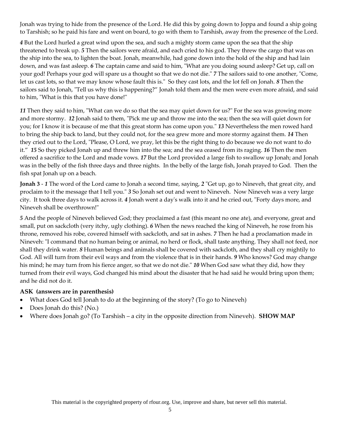Jonah was trying to hide from the presence of the Lord. He did this by going down to Joppa and found a ship going to Tarshish; so he paid his fare and went on board, to go with them to Tarshish, away from the presence of the Lord.

*4* But the Lord hurled a great wind upon the sea, and such a mighty storm came upon the sea that the ship threatened to break up. *5* Then the sailors were afraid, and each cried to his god. They threw the cargo that was on the ship into the sea, to lighten the boat. Jonah, meanwhile, had gone down into the hold of the ship and had lain down, and was fast asleep. *6* The captain came and said to him, "What are you doing sound asleep? Get up, call on your god! Perhaps your god will spare us a thought so that we do not die." *7* The sailors said to one another, "Come, let us cast lots, so that we may know whose fault this is." So they cast lots, and the lot fell on Jonah. *8* Then the sailors said to Jonah, "Tell us why this is happening?" Jonah told them and the men were even more afraid, and said to him, "What is this that you have done!"

*11* Then they said to him, "What can we do so that the sea may quiet down for us?" For the sea was growing more and more stormy. *12* Jonah said to them, "Pick me up and throw me into the sea; then the sea will quiet down for you; for I know it is because of me that this great storm has come upon you." *13* Nevertheless the men rowed hard to bring the ship back to land, but they could not, for the sea grew more and more stormy against them. *14* Then they cried out to the Lord, "Please, O Lord, we pray, let this be the right thing to do because we do not want to do it." *15* So they picked Jonah up and threw him into the sea; and the sea ceased from its raging. *16* Then the men offered a sacrifice to the Lord and made vows. *17* But the Lord provided a large fish to swallow up Jonah; and Jonah was in the belly of the fish three days and three nights. In the belly of the large fish, Jonah prayed to God. Then the fish spat Jonah up on a beach.

**Jonah 3** - *1* The word of the Lord came to Jonah a second time, saying, *2* "Get up, go to Nineveh, that great city, and proclaim to it the message that I tell you." *3* So Jonah set out and went to Nineveh. Now Nineveh was a very large city. It took three days to walk across it. *4* Jonah went a day's walk into it and he cried out, "Forty days more, and Nineveh shall be overthrown!"

*5* And the people of Nineveh believed God; they proclaimed a fast (this meant no one ate), and everyone, great and small, put on sackcloth (very itchy, ugly clothing). *6* When the news reached the king of Nineveh, he rose from his throne, removed his robe, covered himself with sackcloth, and sat in ashes. *7* Then he had a proclamation made in Nineveh: "I command that no human being or animal, no herd or flock, shall taste anything. They shall not feed, nor shall they drink water. *8* Human beings and animals shall be covered with sackcloth, and they shall cry mightily to God. All will turn from their evil ways and from the violence that is in their hands. *9* Who knows? God may change his mind; he may turn from his fierce anger, so that we do not die." *10* When God saw what they did, how they turned from their evil ways, God changed his mind about the disaster that he had said he would bring upon them; and he did not do it.

#### **ASK (answers are in parenthesis)**

- What does God tell Jonah to do at the beginning of the story? (To go to Nineveh)
- Does Jonah do this? (No.)
- Where does Jonah go? (To Tarshish a city in the opposite direction from Nineveh). **SHOW MAP**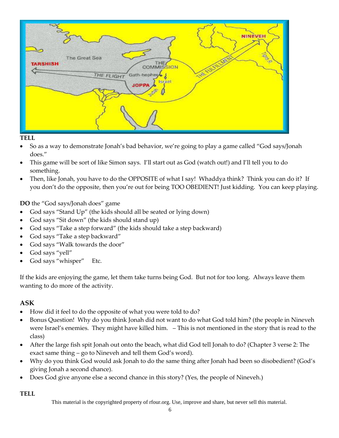

#### **TELL**

- So as a way to demonstrate Jonah's bad behavior, we're going to play a game called "God says/Jonah does."
- This game will be sort of like Simon says. I'll start out as God (watch out!) and I'll tell you to do something.
- Then, like Jonah, you have to do the OPPOSITE of what I say! Whaddya think? Think you can do it? If you don't do the opposite, then you're out for being TOO OBEDIENT! Just kidding. You can keep playing.

**DO** the "God says/Jonah does" game

- God says "Stand Up" (the kids should all be seated or lying down)
- God says "Sit down" (the kids should stand up)
- God says "Take a step forward" (the kids should take a step backward)
- God says "Take a step backward"
- God says "Walk towards the door"
- God says "yell"
- God says "whisper" Etc.

If the kids are enjoying the game, let them take turns being God. But not for too long. Always leave them wanting to do more of the activity.

#### **ASK**

- How did it feel to do the opposite of what you were told to do?
- Bonus Question! Why do you think Jonah did not want to do what God told him? (the people in Nineveh were Israel's enemies. They might have killed him. – This is not mentioned in the story that is read to the class)
- After the large fish spit Jonah out onto the beach, what did God tell Jonah to do? (Chapter 3 verse 2: The exact same thing – go to Nineveh and tell them God's word).
- Why do you think God would ask Jonah to do the same thing after Jonah had been so disobedient? (God's giving Jonah a second chance).
- Does God give anyone else a second chance in this story? (Yes, the people of Nineveh.)

**TELL**